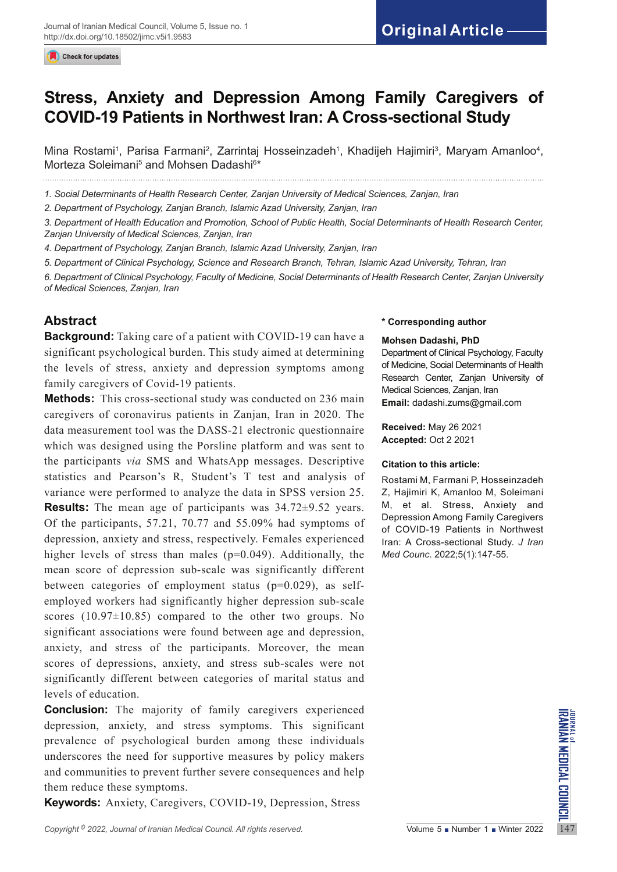Check for updates

# **Stress, Anxiety and Depression Among Family Caregivers of COVID-19 Patients in Northwest Iran: A Cross-sectional Study**

Mina Rostami<sup>1</sup>, Parisa Farmani<sup>2</sup>, Zarrintaj Hosseinzadeh<sup>1</sup>, Khadijeh Hajimiri<sup>3</sup>, Maryam Amanloo<sup>4</sup>, Morteza Soleimani<sup>5</sup> and Mohsen Dadashi<sup>6\*</sup>

*1. Social Determinants of Health Research Center, Zanjan University of Medical Sciences, Zanjan, Iran*

*2. Department of Psychology, Zanjan Branch, Islamic Azad University, Zanjan, Iran*

*3. Department of Health Education and Promotion, School of Public Health, Social Determinants of Health Research Center, Zanjan University of Medical Sciences, Zanjan, Iran*

*4. Department of Psychology, Zanjan Branch, Islamic Azad University, Zanjan, Iran*

*5. Department of Clinical Psychology, Science and Research Branch, Tehran, Islamic Azad University, Tehran, Iran*

*6. Department of Clinical Psychology, Faculty of Medicine, Social Determinants of Health Research Center, Zanjan University of Medical Sciences, Zanjan, Iran*

# **Abstract**

**Background:** Taking care of a patient with COVID-19 can have a significant psychological burden. This study aimed at determining the levels of stress, anxiety and depression symptoms among family caregivers of Covid-19 patients.

**Methods:** This cross-sectional study was conducted on 236 main caregivers of coronavirus patients in Zanjan, Iran in 2020. The data measurement tool was the DASS-21 electronic questionnaire which was designed using the Porsline platform and was sent to the participants *via* SMS and WhatsApp messages. Descriptive statistics and Pearson's R, Student's T test and analysis of variance were performed to analyze the data in SPSS version 25. **Results:** The mean age of participants was 34.72±9.52 years. Of the participants, 57.21, 70.77 and 55.09% had symptoms of depression, anxiety and stress, respectively. Females experienced higher levels of stress than males (p=0.049). Additionally, the mean score of depression sub-scale was significantly different between categories of employment status (p=0.029), as selfemployed workers had significantly higher depression sub-scale scores  $(10.97\pm10.85)$  compared to the other two groups. No significant associations were found between age and depression, anxiety, and stress of the participants. Moreover, the mean scores of depressions, anxiety, and stress sub-scales were not significantly different between categories of marital status and levels of education.

**Conclusion.** The majority of family caregivers experienced<br>depression, anxiety, and stress symptoms. This significant<br>prevalence of psychological burden among these individuals<br>underscores the need for supportive measures **Conclusion:** The majority of family caregivers experienced depression, anxiety, and stress symptoms. This significant prevalence of psychological burden among these individuals underscores the need for supportive measures by policy makers and communities to prevent further severe consequences and help them reduce these symptoms.

**Keywords:** Anxiety, Caregivers, COVID-19, Depression, Stress

#### **\* Corresponding author**

#### **Mohsen Dadashi, PhD**

Department of Clinical Psychology, Faculty of Medicine, Social Determinants of Health Research Center, Zanjan University of Medical Sciences, Zanjan, Iran **Email:** dadashi.zums@gmail.com

**Received:** May 26 2021 **Accepted:** Oct 2 2021

#### **Citation to this article:**

Rostami M, Farmani P, Hosseinzadeh Z, Hajimiri K, Amanloo M, Soleimani M, et al. Stress, Anxiety and Depression Among Family Caregivers of COVID-19 Patients in Northwest Iran: A Cross-sectional Study. *J Iran Med Counc*. 2022;5(1):147-55.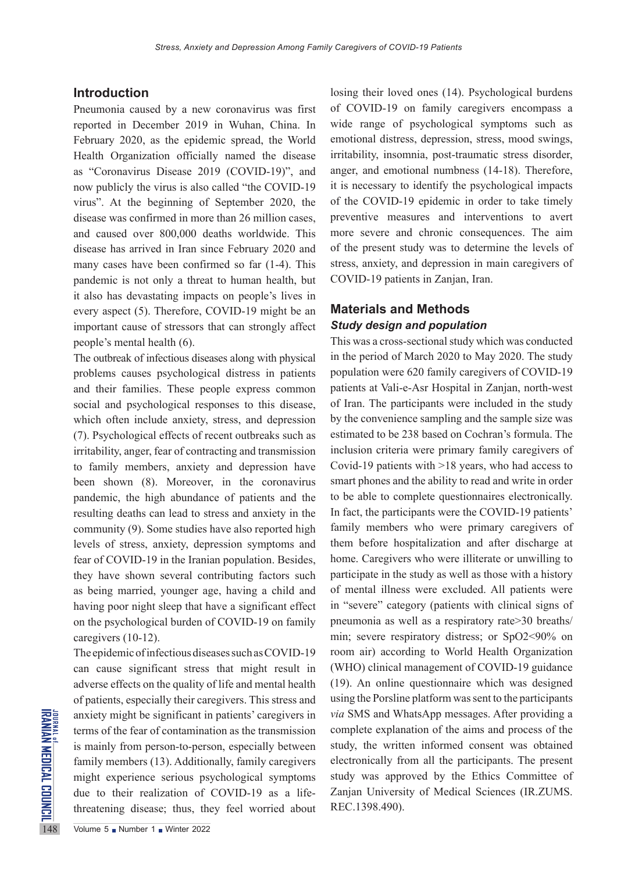## **Introduction**

Pneumonia caused by a new coronavirus was first reported in December 2019 in Wuhan, China. In February 2020, as the epidemic spread, the World Health Organization officially named the disease as "Coronavirus Disease 2019 (COVID-19)", and now publicly the virus is also called "the COVID-19 virus". At the beginning of September 2020, the disease was confirmed in more than 26 million cases, and caused over 800,000 deaths worldwide. This disease has arrived in Iran since February 2020 and many cases have been confirmed so far (1-4). This pandemic is not only a threat to human health, but it also has devastating impacts on people's lives in every aspect (5). Therefore, COVID-19 might be an important cause of stressors that can strongly affect people's mental health (6).

The outbreak of infectious diseases along with physical problems causes psychological distress in patients and their families. These people express common social and psychological responses to this disease, which often include anxiety, stress, and depression (7). Psychological effects of recent outbreaks such as irritability, anger, fear of contracting and transmission to family members, anxiety and depression have been shown (8). Moreover, in the coronavirus pandemic, the high abundance of patients and the resulting deaths can lead to stress and anxiety in the community (9). Some studies have also reported high levels of stress, anxiety, depression symptoms and fear of COVID-19 in the Iranian population. Besides, they have shown several contributing factors such as being married, younger age, having a child and having poor night sleep that have a significant effect on the psychological burden of COVID-19 on family caregivers (10-12).

EXECUTE anxiety might be significant in<br>terms of the fear of contaminat<br>is mainly from person-to-pers<br>family members (13). Addition<br>might experience serious ps<br>due to their realization of<br>threatening disease; thus, the<br>vol The epidemic of infectious diseases such as COVID-19 can cause significant stress that might result in adverse effects on the quality of life and mental health of patients, especially their caregivers. This stress and anxiety might be significant in patients' caregivers in terms of the fear of contamination as the transmission is mainly from person-to-person, especially between family members (13). Additionally, family caregivers might experience serious psychological symptoms due to their realization of COVID-19 as a lifethreatening disease; thus, they feel worried about

of COVID-19 on family caregivers encompass a wide range of psychological symptoms such as emotional distress, depression, stress, mood swings, irritability, insomnia, post-traumatic stress disorder, anger, and emotional numbness (14-18). Therefore, it is necessary to identify the psychological impacts of the COVID-19 epidemic in order to take timely preventive measures and interventions to avert more severe and chronic consequences. The aim of the present study was to determine the levels of stress, anxiety, and depression in main caregivers of COVID-19 patients in Zanjan, Iran.

losing their loved ones (14). Psychological burdens

# **Materials and Methods** *Study design and population*

This was a cross-sectional study which was conducted in the period of March 2020 to May 2020. The study population were 620 family caregivers of COVID-19 patients at Vali-e-Asr Hospital in Zanjan, north-west of Iran. The participants were included in the study by the convenience sampling and the sample size was estimated to be 238 based on Cochran's formula. The inclusion criteria were primary family caregivers of Covid-19 patients with >18 years, who had access to smart phones and the ability to read and write in order to be able to complete questionnaires electronically. In fact, the participants were the COVID-19 patients' family members who were primary caregivers of them before hospitalization and after discharge at home. Caregivers who were illiterate or unwilling to participate in the study as well as those with a history of mental illness were excluded. All patients were in "severe" category (patients with clinical signs of pneumonia as well as a respiratory rate>30 breaths/ min; severe respiratory distress; or SpO2<90% on room air) according to World Health Organization (WHO) clinical management of COVID-19 guidance (19). An online questionnaire which was designed using the Porsline platform was sent to the participants *via* SMS and WhatsApp messages. After providing a complete explanation of the aims and process of the study, the written informed consent was obtained electronically from all the participants. The present study was approved by the Ethics Committee of Zanjan University of Medical Sciences (IR.ZUMS. REC.1398.490).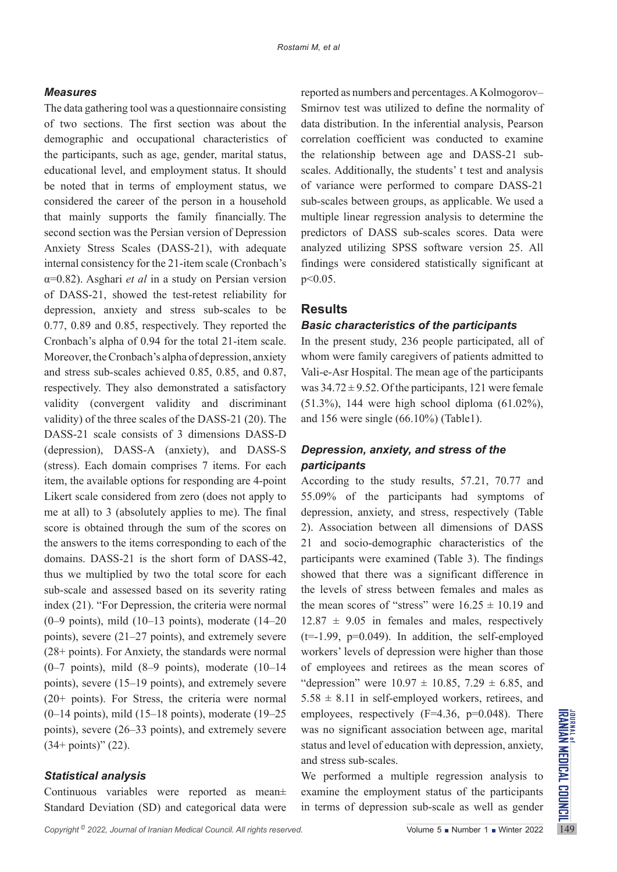## *Measures*

The data gathering tool was a questionnaire consisting of two sections. The first section was about the demographic and occupational characteristics of the participants, such as age, gender, marital status, educational level, and employment status. It should be noted that in terms of employment status, we considered the career of the person in a household that mainly supports the family financially. The second section was the Persian version of Depression Anxiety Stress Scales (DASS-21), with adequate internal consistency for the 21-item scale (Cronbach's α=0.82). Asghari *et al* in a study on Persian version of DASS-21, showed the test-retest reliability for depression, anxiety and stress sub-scales to be 0.77, 0.89 and 0.85, respectively. They reported the Cronbach's alpha of 0.94 for the total 21-item scale. Moreover, the Cronbach's alpha of depression, anxiety and stress sub-scales achieved 0.85, 0.85, and 0.87, respectively. They also demonstrated a satisfactory validity (convergent validity and discriminant validity) of the three scales of the DASS-21 (20). The DASS-21 scale consists of 3 dimensions DASS-D (depression), DASS-A (anxiety), and DASS-S (stress). Each domain comprises 7 items. For each item, the available options for responding are 4-point Likert scale considered from zero (does not apply to me at all) to 3 (absolutely applies to me). The final score is obtained through the sum of the scores on the answers to the items corresponding to each of the domains. DASS-21 is the short form of DASS-42, thus we multiplied by two the total score for each sub-scale and assessed based on its severity rating index (21). "For Depression, the criteria were normal  $(0-9 \text{ points})$ , mild  $(10-13 \text{ points})$ , moderate  $(14-20 \text{ points})$ points), severe (21–27 points), and extremely severe (28+ points). For Anxiety, the standards were normal  $(0-7 \text{ points})$ , mild  $(8-9 \text{ points})$ , moderate  $(10-14 \text{ bits})$ points), severe (15–19 points), and extremely severe (20+ points). For Stress, the criteria were normal  $(0-14 \text{ points})$ , mild  $(15-18 \text{ points})$ , moderate  $(19-25 \text{ bits})$ points), severe (26–33 points), and extremely severe  $(34+$  points)"  $(22)$ .

## *Statistical analysis*

Continuous variables were reported as mean± Standard Deviation (SD) and categorical data were

reported as numbers and percentages. A Kolmogorov– Smirnov test was utilized to define the normality of data distribution. In the inferential analysis, Pearson correlation coefficient was conducted to examine the relationship between age and DASS-21 subscales. Additionally, the students' t test and analysis of variance were performed to compare DASS-21 sub-scales between groups, as applicable. We used a multiple linear regression analysis to determine the predictors of DASS sub-scales scores. Data were analyzed utilizing SPSS software version 25. All findings were considered statistically significant at  $p < 0.05$ .

## **Results**

#### *Basic characteristics of the participants*

In the present study, 236 people participated, all of whom were family caregivers of patients admitted to Vali-e-Asr Hospital. The mean age of the participants was  $34.72 \pm 9.52$ . Of the participants, 121 were female (51.3%), 144 were high school diploma (61.02%), and 156 were single (66.10%) (Table1).

## *Depression, anxiety, and stress of the participants*

According to the study results, 57.21, 70.77 and 55.09% of the participants had symptoms of depression, anxiety, and stress, respectively (Table 2). Association between all dimensions of DASS 21 and socio-demographic characteristics of the participants were examined (Table 3). The findings showed that there was a significant difference in the levels of stress between females and males as the mean scores of "stress" were  $16.25 \pm 10.19$  and  $12.87 \pm 9.05$  in females and males, respectively  $(t=-1.99, p=0.049)$ . In addition, the self-employed workers' levels of depression were higher than those of employees and retirees as the mean scores of "depression" were  $10.97 \pm 10.85$ , 7.29  $\pm$  6.85, and  $5.58 \pm 8.11$  in self-employed workers, retirees, and employees, respectively  $(F=4.36, p=0.048)$ . There was no significant association between age, marital status and level of education with depression, anxiety, and stress sub-scales.

We performed a multiple regression analysis to examine the employment status of the participants in terms of depression sub-scale as well as gender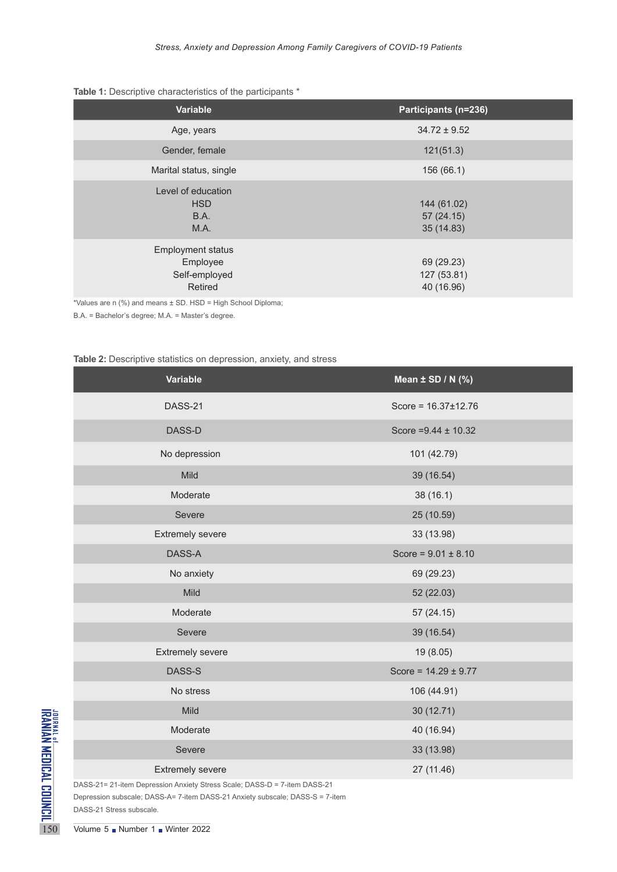## **Table 1:** Descriptive characteristics of the participants \*

| Variable                                                         | Participants (n=236)                    |
|------------------------------------------------------------------|-----------------------------------------|
| Age, years                                                       | $34.72 \pm 9.52$                        |
| Gender, female                                                   | 121(51.3)                               |
| Marital status, single                                           | 156 (66.1)                              |
| Level of education<br><b>HSD</b><br><b>B.A.</b><br>M.A.          | 144 (61.02)<br>57(24.15)<br>35 (14.83)  |
| <b>Employment status</b><br>Employee<br>Self-employed<br>Retired | 69 (29.23)<br>127 (53.81)<br>40 (16.96) |

\*Values are n (%) and means ± SD. HSD = High School Diploma;

B.A. = Bachelor's degree; M.A. = Master's degree.

#### **Table 2:** Descriptive statistics on depression, anxiety, and stress

|                                                              | Variable                                                                                                                                                                                                                | Mean $\pm$ SD / N (%)     |
|--------------------------------------------------------------|-------------------------------------------------------------------------------------------------------------------------------------------------------------------------------------------------------------------------|---------------------------|
|                                                              | DASS-21                                                                                                                                                                                                                 | Score = $16.37 \pm 12.76$ |
|                                                              | DASS-D                                                                                                                                                                                                                  | Score = $9.44 \pm 10.32$  |
|                                                              | No depression                                                                                                                                                                                                           | 101 (42.79)               |
|                                                              | Mild                                                                                                                                                                                                                    | 39 (16.54)                |
|                                                              | Moderate                                                                                                                                                                                                                | 38 (16.1)                 |
|                                                              | Severe                                                                                                                                                                                                                  | 25 (10.59)                |
|                                                              | <b>Extremely severe</b>                                                                                                                                                                                                 | 33 (13.98)                |
|                                                              | DASS-A                                                                                                                                                                                                                  | Score = $9.01 \pm 8.10$   |
|                                                              | No anxiety                                                                                                                                                                                                              | 69 (29.23)                |
|                                                              | Mild                                                                                                                                                                                                                    | 52 (22.03)                |
|                                                              | Moderate                                                                                                                                                                                                                | 57(24.15)                 |
|                                                              | Severe                                                                                                                                                                                                                  | 39 (16.54)                |
|                                                              | <b>Extremely severe</b>                                                                                                                                                                                                 | 19 (8.05)                 |
|                                                              | DASS-S                                                                                                                                                                                                                  | Score = $14.29 \pm 9.77$  |
|                                                              | No stress                                                                                                                                                                                                               | 106 (44.91)               |
|                                                              | Mild                                                                                                                                                                                                                    | 30(12.71)                 |
|                                                              | Moderate                                                                                                                                                                                                                | 40 (16.94)                |
|                                                              | Severe                                                                                                                                                                                                                  | 33 (13.98)                |
|                                                              | <b>Extremely severe</b>                                                                                                                                                                                                 | 27 (11.46)                |
| JOURNAL OF MEDICAL COUNCIL<br>IRANIAN MEDICAL COUNCIL<br>150 | DASS-21= 21-item Depression Anxiety Stress Scale; DASS-D = 7-item DASS-21<br>Depression subscale; DASS-A= 7-item DASS-21 Anxiety subscale; DASS-S = 7-item<br>DASS-21 Stress subscale.<br>Volume 5 Number 1 Winter 2022 |                           |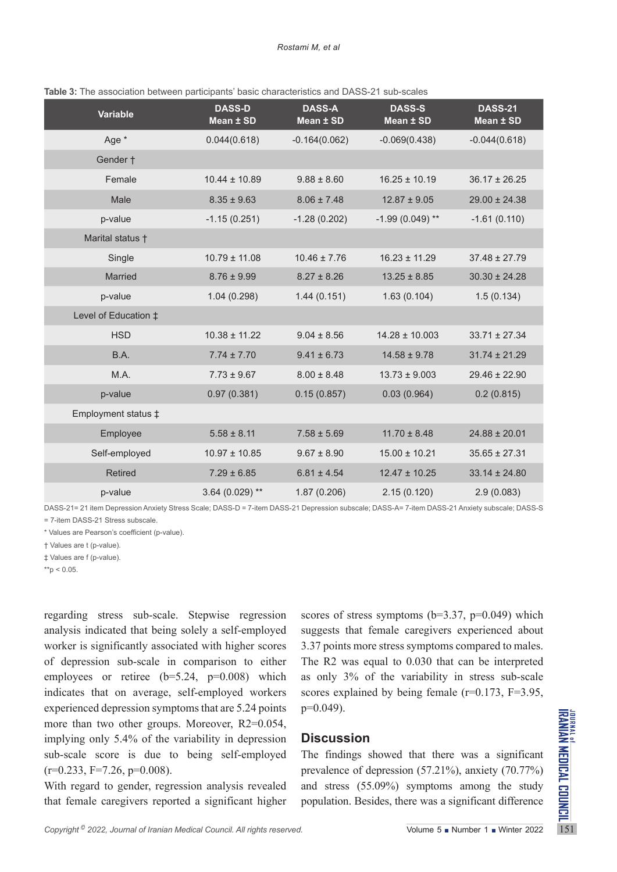| <b>Variable</b>               | <b>DASS-D</b><br>Mean ± SD | <b>DASS-A</b><br>Mean ± SD | <b>DASS-S</b><br>Mean ± SD | <b>DASS-21</b><br>Mean ± SD |
|-------------------------------|----------------------------|----------------------------|----------------------------|-----------------------------|
| Age *                         | 0.044(0.618)               | $-0.164(0.062)$            | $-0.069(0.438)$            | $-0.044(0.618)$             |
| Gender +                      |                            |                            |                            |                             |
| Female                        | $10.44 \pm 10.89$          | $9.88 \pm 8.60$            | $16.25 \pm 10.19$          | $36.17 \pm 26.25$           |
| Male                          | $8.35 \pm 9.63$            | $8.06 \pm 7.48$            | $12.87 \pm 9.05$           | $29.00 \pm 24.38$           |
| p-value                       | $-1.15(0.251)$             | $-1.28(0.202)$             | $-1.99(0.049)$ **          | $-1.61(0.110)$              |
| Marital status +              |                            |                            |                            |                             |
| Single                        | $10.79 \pm 11.08$          | $10.46 \pm 7.76$           | $16.23 \pm 11.29$          | $37.48 \pm 27.79$           |
| Married                       | $8.76 \pm 9.99$            | $8.27 \pm 8.26$            | $13.25 \pm 8.85$           | $30.30 \pm 24.28$           |
| p-value                       | 1.04(0.298)                | 1.44(0.151)                | 1.63(0.104)                | 1.5(0.134)                  |
| Level of Education $\ddagger$ |                            |                            |                            |                             |
| <b>HSD</b>                    | $10.38 \pm 11.22$          | $9.04 \pm 8.56$            | $14.28 \pm 10.003$         | $33.71 \pm 27.34$           |
| B.A.                          | $7.74 \pm 7.70$            | $9.41 \pm 6.73$            | $14.58 \pm 9.78$           | $31.74 \pm 21.29$           |
| M.A.                          | $7.73 \pm 9.67$            | $8.00 \pm 8.48$            | $13.73 \pm 9.003$          | $29.46 \pm 22.90$           |
| p-value                       | 0.97(0.381)                | 0.15(0.857)                | 0.03(0.964)                | 0.2(0.815)                  |
| Employment status ‡           |                            |                            |                            |                             |
| Employee                      | $5.58 \pm 8.11$            | $7.58 \pm 5.69$            | $11.70 \pm 8.48$           | $24.88 \pm 20.01$           |
| Self-employed                 | $10.97 \pm 10.85$          | $9.67 \pm 8.90$            | $15.00 \pm 10.21$          | $35.65 \pm 27.31$           |
| <b>Retired</b>                | $7.29 \pm 6.85$            | $6.81 \pm 4.54$            | $12.47 \pm 10.25$          | $33.14 \pm 24.80$           |
| p-value                       | $3.64(0.029)$ **           | 1.87(0.206)                | 2.15(0.120)                | 2.9(0.083)                  |

**Table 3:** The association between participants' basic characteristics and DASS-21 sub-scales

DASS-21= 21 item Depression Anxiety Stress Scale; DASS-D = 7-item DASS-21 Depression subscale; DASS-A= 7-item DASS-21 Anxiety subscale; DASS-S = 7-item DASS-21 Stress subscale.

\* Values are Pearson's coefficient (p-value).

† Values are t (p-value).

‡ Values are f (p-value).

 $*$ <sub>p</sub> < 0.05.

Experienced depression symptoms that at e.5.24 points<br>
more than two other groups. Moreover, R2=0.054,<br>
implying only 5.4% of the variability in depression<br>
sub-scale score is due to being self-employed The findings showe regarding stress sub-scale. Stepwise regression analysis indicated that being solely a self-employed worker is significantly associated with higher scores of depression sub-scale in comparison to either employees or retiree  $(b=5.24, p=0.008)$  which indicates that on average, self-employed workers experienced depression symptoms that are 5.24 points more than two other groups. Moreover, R2=0.054, implying only 5.4% of the variability in depression sub-scale score is due to being self-employed  $(r=0.233, F=7.26, p=0.008).$ 

With regard to gender, regression analysis revealed that female caregivers reported a significant higher scores of stress symptoms ( $b=3.37$ ,  $p=0.049$ ) which suggests that female caregivers experienced about 3.37 points more stress symptoms compared to males. The R2 was equal to 0.030 that can be interpreted as only 3% of the variability in stress sub-scale scores explained by being female (r=0.173, F=3.95, p=0.049).

## **Discussion**

The findings showed that there was a significant prevalence of depression (57.21%), anxiety (70.77%) and stress (55.09%) symptoms among the study population. Besides, there was a significant difference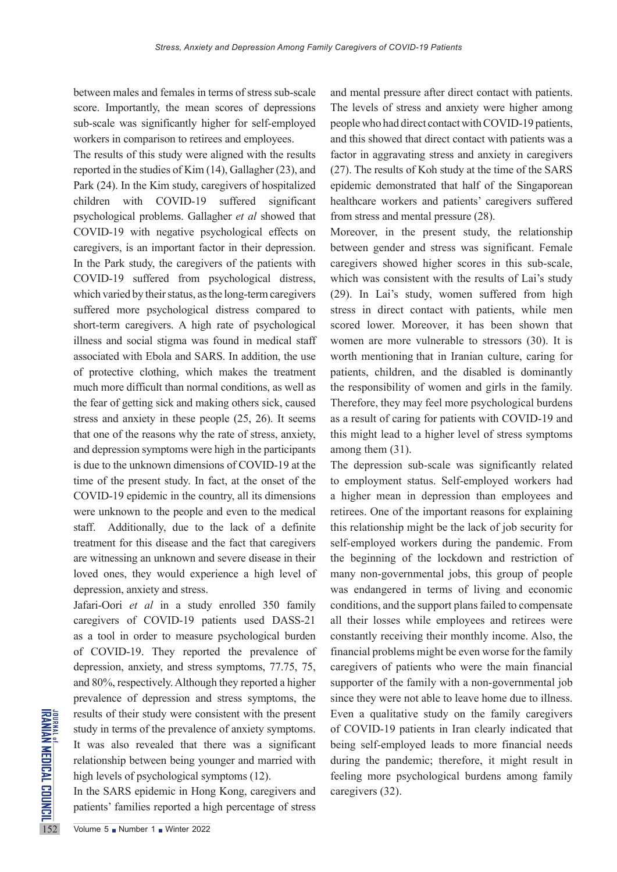between males and females in terms of stress sub-scale score. Importantly, the mean scores of depressions sub-scale was significantly higher for self-employed workers in comparison to retirees and employees.

The results of this study were aligned with the results reported in the studies of Kim (14), Gallagher (23), and Park (24). In the Kim study, caregivers of hospitalized children with COVID-19 suffered significant psychological problems. Gallagher *et al* showed that COVID-19 with negative psychological effects on caregivers, is an important factor in their depression. In the Park study, the caregivers of the patients with COVID-19 suffered from psychological distress, which varied by their status, as the long-term caregivers suffered more psychological distress compared to short-term caregivers. A high rate of psychological illness and social stigma was found in medical staff associated with Ebola and SARS. In addition, the use of protective clothing, which makes the treatment much more difficult than normal conditions, as well as the fear of getting sick and making others sick, caused stress and anxiety in these people (25, 26). It seems that one of the reasons why the rate of stress, anxiety, and depression symptoms were high in the participants is due to the unknown dimensions of COVID-19 at the time of the present study. In fact, at the onset of the COVID-19 epidemic in the country, all its dimensions were unknown to the people and even to the medical staff. Additionally, due to the lack of a definite treatment for this disease and the fact that caregivers are witnessing an unknown and severe disease in their loved ones, they would experience a high level of depression, anxiety and stress.

THERET THE THIRD THE THE THIRD THE THIRD THE THIRD THE THIRD THE THIRD THE THIRD THIRD THIRD THIRD THIRD THIRD THIRD THIRD THIRD THIRD THIRD THIRD THIRD THIRD THIRD THIRD THIRD THIRD THIRD THIRD THIRD THIRD THIRD THIRD THI Jafari-Oori *et al* in a study enrolled 350 family caregivers of COVID-19 patients used DASS-21 as a tool in order to measure psychological burden of COVID-19. They reported the prevalence of depression, anxiety, and stress symptoms, 77.75, 75, and 80%, respectively. Although they reported a higher prevalence of depression and stress symptoms, the results of their study were consistent with the present study in terms of the prevalence of anxiety symptoms. It was also revealed that there was a significant relationship between being younger and married with high levels of psychological symptoms (12).

In the SARS epidemic in Hong Kong, caregivers and patients' families reported a high percentage of stress

and mental pressure after direct contact with patients. The levels of stress and anxiety were higher among people who had direct contact with COVID-19 patients, and this showed that direct contact with patients was a factor in aggravating stress and anxiety in caregivers (27). The results of Koh study at the time of the SARS epidemic demonstrated that half of the Singaporean healthcare workers and patients' caregivers suffered from stress and mental pressure (28).

Moreover, in the present study, the relationship between gender and stress was significant. Female caregivers showed higher scores in this sub-scale, which was consistent with the results of Lai's study (29). In Lai's study, women suffered from high stress in direct contact with patients, while men scored lower. Moreover, it has been shown that women are more vulnerable to stressors (30). It is worth mentioning that in Iranian culture, caring for patients, children, and the disabled is dominantly the responsibility of women and girls in the family. Therefore, they may feel more psychological burdens as a result of caring for patients with COVID-19 and this might lead to a higher level of stress symptoms among them (31).

The depression sub-scale was significantly related to employment status. Self-employed workers had a higher mean in depression than employees and retirees. One of the important reasons for explaining this relationship might be the lack of job security for self-employed workers during the pandemic. From the beginning of the lockdown and restriction of many non-governmental jobs, this group of people was endangered in terms of living and economic conditions, and the support plans failed to compensate all their losses while employees and retirees were constantly receiving their monthly income. Also, the financial problems might be even worse for the family caregivers of patients who were the main financial supporter of the family with a non-governmental job since they were not able to leave home due to illness. Even a qualitative study on the family caregivers of COVID-19 patients in Iran clearly indicated that being self-employed leads to more financial needs during the pandemic; therefore, it might result in feeling more psychological burdens among family caregivers (32).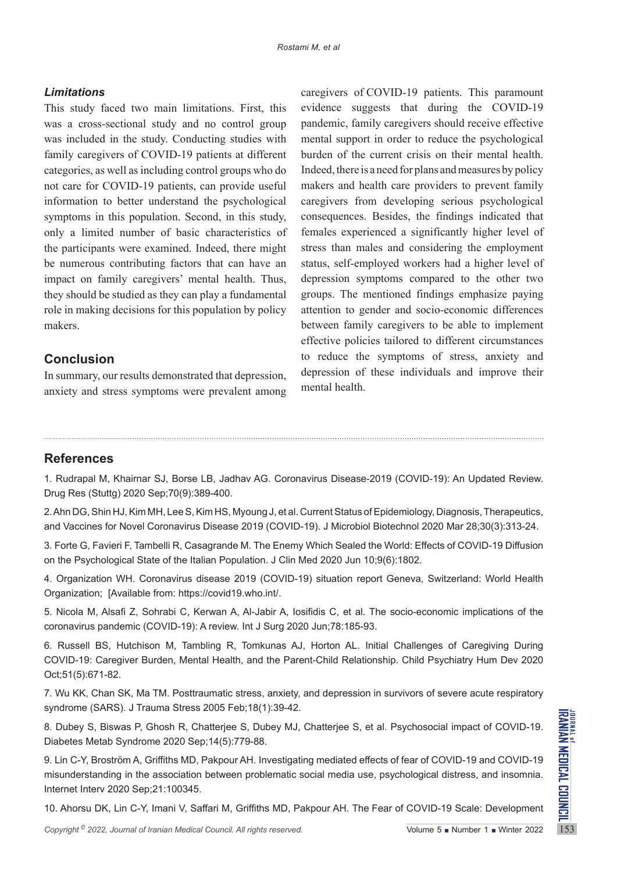## *Limitations*

This study faced two main limitations. First, this was a cross-sectional study and no control group was included in the study. Conducting studies with family caregivers of COVID-19 patients at different categories, as well as including control groups who do not care for COVID-19 patients, can provide useful information to better understand the psychological symptoms in this population. Second, in this study, only a limited number of basic characteristics of the participants were examined. Indeed, there might be numerous contributing factors that can have an impact on family caregivers' mental health. Thus, they should be studied as they can play a fundamental role in making decisions for this population by policy makers.

## **Conclusion**

In summary, our results demonstrated that depression, anxiety and stress symptoms were prevalent among

caregivers of COVID-19 patients. This paramount evidence suggests that during the COVID-19 pandemic, family caregivers should receive effective mental support in order to reduce the psychological burden of the current crisis on their mental health. Indeed, there is a need for plans and measures by policy makers and health care providers to prevent family caregivers from developing serious psychological consequences. Besides, the findings indicated that females experienced a significantly higher level of stress than males and considering the employment status, self-employed workers had a higher level of depression symptoms compared to the other two groups. The mentioned findings emphasize paying attention to gender and socio-economic differences between family caregivers to be able to implement effective policies tailored to different circumstances to reduce the symptoms of stress, anxiety and depression of these individuals and improve their mental health.

# **References**

1. Rudrapal M, Khairnar SJ, Borse LB, Jadhav AG. Coronavirus Disease-2019 (COVID-19): An Updated Review. Drug Res (Stuttg) 2020 Sep;70(9):389-400.

2. Ahn DG, Shin HJ, Kim MH, Lee S, Kim HS, Myoung J, et al. Current Status of Epidemiology, Diagnosis, Therapeutics, and Vaccines for Novel Coronavirus Disease 2019 (COVID-19). J Microbiol Biotechnol 2020 Mar 28;30(3):313-24.

3. Forte G, Favieri F, Tambelli R, Casagrande M. The Enemy Which Sealed the World: Effects of COVID-19 Diffusion on the Psychological State of the Italian Population. J Clin Med 2020 Jun 10;9(6):1802.

4. Organization WH. Coronavirus disease 2019 (COVID-19) situation report Geneva, Switzerland: World Health Organization; [Available from: https://covid19.who.int/.

5. Nicola M, Alsafi Z, Sohrabi C, Kerwan A, Al-Jabir A, Iosifidis C, et al. The socio-economic implications of the coronavirus pandemic (COVID-19): A review. Int J Surg 2020 Jun;78:185-93.

6. Russell BS, Hutchison M, Tambling R, Tomkunas AJ, Horton AL. Initial Challenges of Caregiving During COVID-19: Caregiver Burden, Mental Health, and the Parent-Child Relationship. Child Psychiatry Hum Dev 2020 Oct;51(5):671-82.

7. Wu KK, Chan SK, Ma TM. Posttraumatic stress, anxiety, and depression in survivors of severe acute respiratory syndrome (SARS). J Trauma Stress 2005 Feb;18(1):39-42.

8. Dubey S, Biswas P, Ghosh R, Chatterjee S, Dubey MJ, Chatterjee S, et al. Psychosocial impact of COVID-19. Diabetes Metab Syndrome 2020 Sep;14(5):779-88.

*Copyright* 2022, *Journal of Iranian Medical Council. All rights reserved.* The Fear of COVID-19 Scale: Development Copyright<sup>9</sup> 2022, *Journal of Iranian Medical Council. All rights reserved.* The Fear of COVID-19 Scale: 9. Lin C-Y, Broström A, Griffiths MD, Pakpour AH. Investigating mediated effects of fear of COVID-19 and COVID-19 misunderstanding in the association between problematic social media use, psychological distress, and insomnia. Internet Interv 2020 Sep;21:100345.

10. Ahorsu DK, Lin C-Y, Imani V, Saffari M, Griffiths MD, Pakpour AH. The Fear of COVID-19 Scale: Development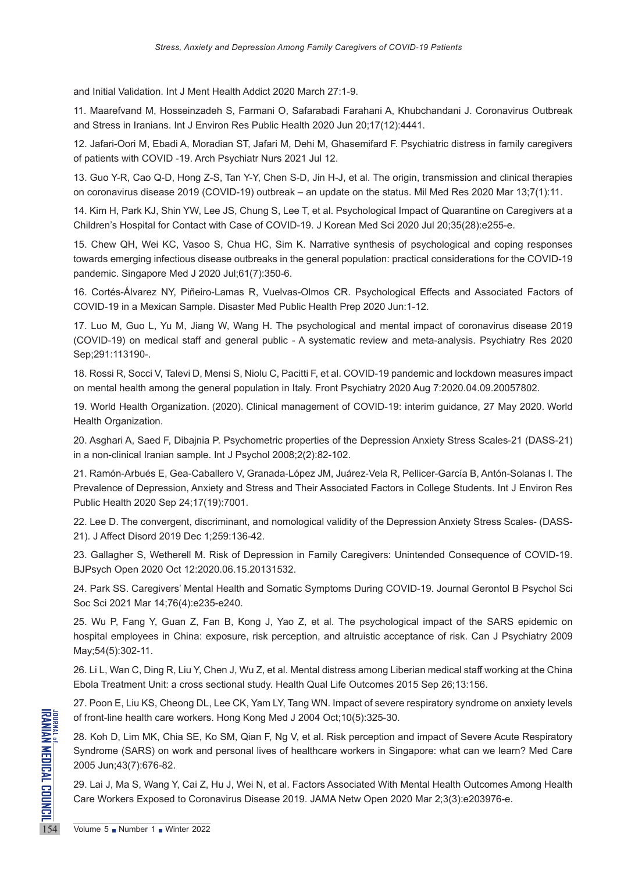and Initial Validation. Int J Ment Health Addict 2020 March 27:1-9.

11. Maarefvand M, Hosseinzadeh S, Farmani O, Safarabadi Farahani A, Khubchandani J. Coronavirus Outbreak and Stress in Iranians. Int J Environ Res Public Health 2020 Jun 20;17(12):4441.

12. Jafari-Oori M, Ebadi A, Moradian ST, Jafari M, Dehi M, Ghasemifard F. Psychiatric distress in family caregivers of patients with COVID -19. Arch Psychiatr Nurs 2021 Jul 12.

13. Guo Y-R, Cao Q-D, Hong Z-S, Tan Y-Y, Chen S-D, Jin H-J, et al. The origin, transmission and clinical therapies on coronavirus disease 2019 (COVID-19) outbreak – an update on the status. Mil Med Res 2020 Mar 13;7(1):11.

14. Kim H, Park KJ, Shin YW, Lee JS, Chung S, Lee T, et al. Psychological Impact of Quarantine on Caregivers at a Children's Hospital for Contact with Case of COVID-19. J Korean Med Sci 2020 Jul 20;35(28):e255-e.

15. Chew QH, Wei KC, Vasoo S, Chua HC, Sim K. Narrative synthesis of psychological and coping responses towards emerging infectious disease outbreaks in the general population: practical considerations for the COVID-19 pandemic. Singapore Med J 2020 Jul;61(7):350-6.

16. Cortés-Álvarez NY, Piñeiro-Lamas R, Vuelvas-Olmos CR. Psychological Effects and Associated Factors of COVID-19 in a Mexican Sample. Disaster Med Public Health Prep 2020 Jun:1-12.

17. Luo M, Guo L, Yu M, Jiang W, Wang H. The psychological and mental impact of coronavirus disease 2019 (COVID-19) on medical staff and general public - A systematic review and meta-analysis. Psychiatry Res 2020 Sep;291:113190-.

18. Rossi R, Socci V, Talevi D, Mensi S, Niolu C, Pacitti F, et al. COVID-19 pandemic and lockdown measures impact on mental health among the general population in Italy. Front Psychiatry 2020 Aug 7:2020.04.09.20057802.

19. World Health Organization. (2020). Clinical management of COVID-19: interim guidance, 27 May 2020. World Health Organization.

20. Asghari A, Saed F, Dibajnia P. Psychometric properties of the Depression Anxiety Stress Scales-21 (DASS-21) in a non-clinical Iranian sample. Int J Psychol 2008;2(2):82-102.

21. Ramón-Arbués E, Gea-Caballero V, Granada-López JM, Juárez-Vela R, Pellicer-García B, Antón-Solanas I. The Prevalence of Depression, Anxiety and Stress and Their Associated Factors in College Students. Int J Environ Res Public Health 2020 Sep 24;17(19):7001.

22. Lee D. The convergent, discriminant, and nomological validity of the Depression Anxiety Stress Scales- (DASS-21). J Affect Disord 2019 Dec 1;259:136-42.

23. Gallagher S, Wetherell M. Risk of Depression in Family Caregivers: Unintended Consequence of COVID-19. BJPsych Open 2020 Oct 12:2020.06.15.20131532.

24. Park SS. Caregivers' Mental Health and Somatic Symptoms During COVID-19. Journal Gerontol B Psychol Sci Soc Sci 2021 Mar 14;76(4):e235-e240.

25. Wu P, Fang Y, Guan Z, Fan B, Kong J, Yao Z, et al. The psychological impact of the SARS epidemic on hospital employees in China: exposure, risk perception, and altruistic acceptance of risk. Can J Psychiatry 2009 May;54(5):302-11.

26. Li L, Wan C, Ding R, Liu Y, Chen J, Wu Z, et al. Mental distress among Liberian medical staff working at the China Ebola Treatment Unit: a cross sectional study. Health Qual Life Outcomes 2015 Sep 26;13:156.

27. Poon E, Liu KS, Cheong DL, Lee CK, Yam LY, Tang WN. Impact of severe respiratory syndrome on anxiety levels of front-line health care workers. Hong Kong Med J 2004 Oct;10(5):325-30.

START OF front-line health care workers<br>
28. Koh D, Lim MK, Chia SE, K<br>
Syndrome (SARS) on work and<br>
2005 Jun;43(7):676-82.<br>
29. Lai J, Ma S, Wang Y, Cai Z,<br>
Care Workers Exposed to Corol 28. Koh D, Lim MK, Chia SE, Ko SM, Qian F, Ng V, et al. Risk perception and impact of Severe Acute Respiratory Syndrome (SARS) on work and personal lives of healthcare workers in Singapore: what can we learn? Med Care 2005 Jun;43(7):676-82.

29. Lai J, Ma S, Wang Y, Cai Z, Hu J, Wei N, et al. Factors Associated With Mental Health Outcomes Among Health Care Workers Exposed to Coronavirus Disease 2019. JAMA Netw Open 2020 Mar 2;3(3):e203976-e.